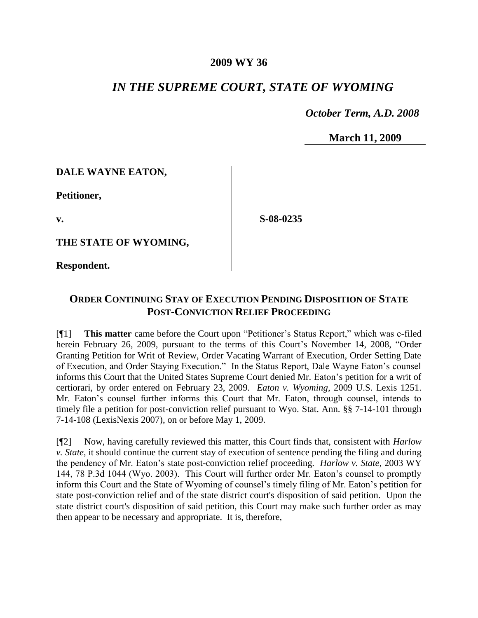## **2009 WY 36**

## *IN THE SUPREME COURT, STATE OF WYOMING*

 *October Term, A.D. 2008*

**March 11, 2009**

## **DALE WAYNE EATON,**

**Petitioner,**

**v.**

**S-08-0235**

**THE STATE OF WYOMING,**

**Respondent.**

## **ORDER CONTINUING STAY OF EXECUTION PENDING DISPOSITION OF STATE POST-CONVICTION RELIEF PROCEEDING**

[¶1] **This matter** came before the Court upon "Petitioner's Status Report," which was e-filed herein February 26, 2009, pursuant to the terms of this Court's November 14, 2008, "Order Granting Petition for Writ of Review, Order Vacating Warrant of Execution, Order Setting Date of Execution, and Order Staying Execution." In the Status Report, Dale Wayne Eaton's counsel informs this Court that the United States Supreme Court denied Mr. Eaton's petition for a writ of certiorari, by order entered on February 23, 2009. *Eaton v. Wyoming*, 2009 U.S. Lexis 1251. Mr. Eaton's counsel further informs this Court that Mr. Eaton, through counsel, intends to timely file a petition for post-conviction relief pursuant to Wyo. Stat. Ann. §§ 7-14-101 through 7-14-108 (LexisNexis 2007), on or before May 1, 2009.

[¶2] Now, having carefully reviewed this matter, this Court finds that, consistent with *Harlow v. State*, it should continue the current stay of execution of sentence pending the filing and during the pendency of Mr. Eaton's state post-conviction relief proceeding. *Harlow v. State*, 2003 WY 144, 78 P.3d 1044 (Wyo. 2003). This Court will further order Mr. Eaton's counsel to promptly inform this Court and the State of Wyoming of counsel's timely filing of Mr. Eaton's petition for state post-conviction relief and of the state district court's disposition of said petition. Upon the state district court's disposition of said petition, this Court may make such further order as may then appear to be necessary and appropriate. It is, therefore,